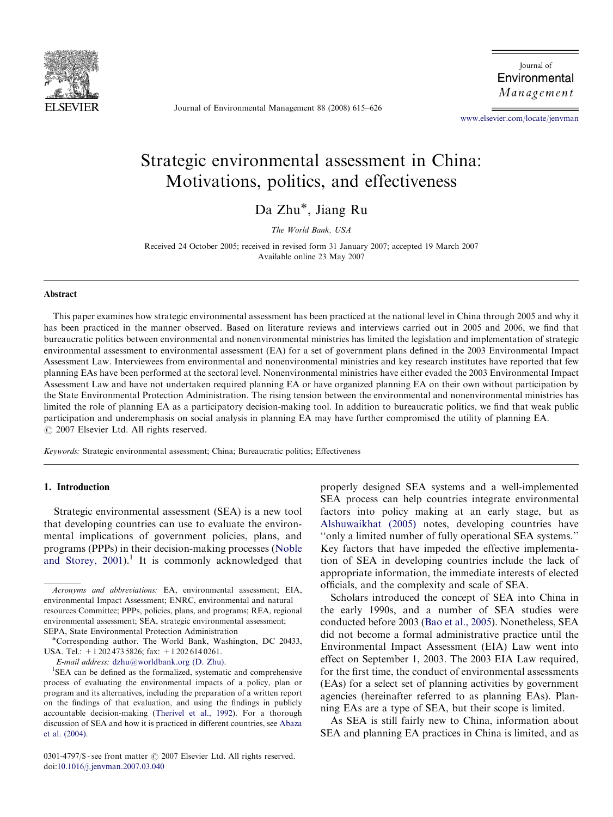

Journal of Environmental Management 88 (2008) 615–626

Journal of Environmental Management

<www.elsevier.com/locate/jenvman>

# Strategic environmental assessment in China: Motivations, politics, and effectiveness

Da Zhu\*, Jiang Ru

The World Bank, USA

Received 24 October 2005; received in revised form 31 January 2007; accepted 19 March 2007 Available online 23 May 2007

#### Abstract

This paper examines how strategic environmental assessment has been practiced at the national level in China through 2005 and why it has been practiced in the manner observed. Based on literature reviews and interviews carried out in 2005 and 2006, we find that bureaucratic politics between environmental and nonenvironmental ministries has limited the legislation and implementation of strategic environmental assessment to environmental assessment (EA) for a set of government plans defined in the 2003 Environmental Impact Assessment Law. Interviewees from environmental and nonenvironmental ministries and key research institutes have reported that few planning EAs have been performed at the sectoral level. Nonenvironmental ministries have either evaded the 2003 Environmental Impact Assessment Law and have not undertaken required planning EA or have organized planning EA on their own without participation by the State Environmental Protection Administration. The rising tension between the environmental and nonenvironmental ministries has limited the role of planning EA as a participatory decision-making tool. In addition to bureaucratic politics, we find that weak public participation and underemphasis on social analysis in planning EA may have further compromised the utility of planning EA.  $C$  2007 Elsevier Ltd. All rights reserved.

Keywords: Strategic environmental assessment; China; Bureaucratic politics; Effectiveness

## 1. Introduction

Strategic environmental assessment (SEA) is a new tool that developing countries can use to evaluate the environmental implications of government policies, plans, and programs (PPPs) in their decision-making processes [\(Noble](#page--1-0) and Storey,  $2001$ ).<sup>1</sup> It is commonly acknowledged that

0301-4797/\$ - see front matter © 2007 Elsevier Ltd. All rights reserved. doi:[10.1016/j.jenvman.2007.03.040](dx.doi.org/10.1016/j.jenvman.2007.03.040)

properly designed SEA systems and a well-implemented SEA process can help countries integrate environmental factors into policy making at an early stage, but as [Alshuwaikhat \(2005\)](#page--1-0) notes, developing countries have ''only a limited number of fully operational SEA systems.'' Key factors that have impeded the effective implementation of SEA in developing countries include the lack of appropriate information, the immediate interests of elected officials, and the complexity and scale of SEA.

Scholars introduced the concept of SEA into China in the early 1990s, and a number of SEA studies were conducted before 2003 ([Bao et al., 2005\)](#page--1-0). Nonetheless, SEA did not become a formal administrative practice until the Environmental Impact Assessment (EIA) Law went into effect on September 1, 2003. The 2003 EIA Law required, for the first time, the conduct of environmental assessments (EAs) for a select set of planning activities by government agencies (hereinafter referred to as planning EAs). Planning EAs are a type of SEA, but their scope is limited.

As SEA is still fairly new to China, information about SEA and planning EA practices in China is limited, and as

Acronyms and abbreviations: EA, environmental assessment; EIA, environmental Impact Assessment; ENRC, environmental and natural resources Committee; PPPs, policies, plans, and programs; REA, regional environmental assessment; SEA, strategic environmental assessment; SEPA, State Environmental Protection Administration

Corresponding author. The World Bank, Washington, DC 20433, USA. Tel.: +1 202 473 5826; fax: +1 202 614 0261.

E-mail address: [dzhu@worldbank.org \(D. Zhu\).](mailto:dzhu@worldbank.org)

<sup>&</sup>lt;sup>1</sup>SEA can be defined as the formalized, systematic and comprehensive process of evaluating the environmental impacts of a policy, plan or program and its alternatives, including the preparation of a written report on the findings of that evaluation, and using the findings in publicly accountable decision-making [\(Therivel et al., 1992\)](#page--1-0). For a thorough discussion of SEA and how it is practiced in different countries, see [Abaza](#page--1-0) [et al. \(2004\)](#page--1-0).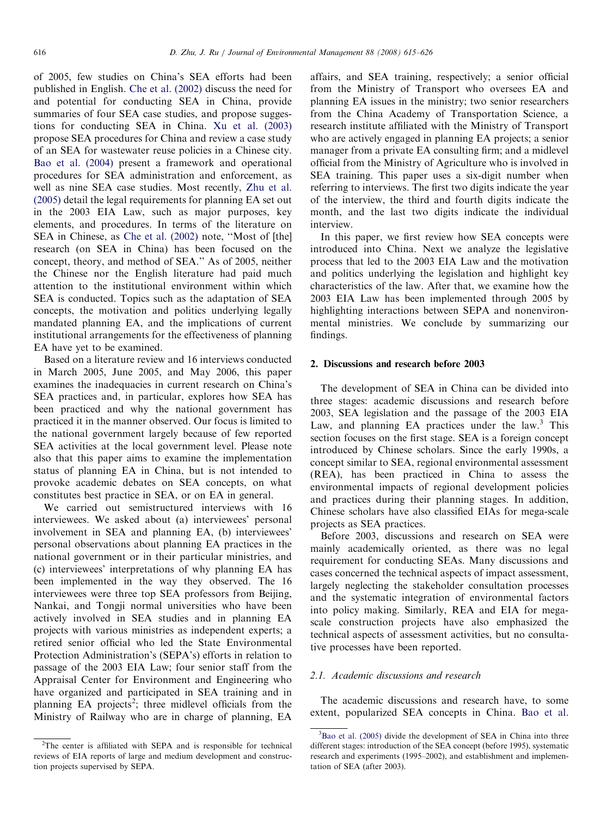of 2005, few studies on China's SEA efforts had been published in English. [Che et al. \(2002\)](#page--1-0) discuss the need for and potential for conducting SEA in China, provide summaries of four SEA case studies, and propose suggestions for conducting SEA in China. [Xu et al. \(2003\)](#page--1-0) propose SEA procedures for China and review a case study of an SEA for wastewater reuse policies in a Chinese city. [Bao et al. \(2004\)](#page--1-0) present a framework and operational procedures for SEA administration and enforcement, as well as nine SEA case studies. Most recently, [Zhu et al.](#page--1-0) [\(2005\)](#page--1-0) detail the legal requirements for planning EA set out in the 2003 EIA Law, such as major purposes, key elements, and procedures. In terms of the literature on SEA in Chinese, as [Che et al. \(2002\)](#page--1-0) note, ''Most of [the] research (on SEA in China) has been focused on the concept, theory, and method of SEA.'' As of 2005, neither the Chinese nor the English literature had paid much attention to the institutional environment within which SEA is conducted. Topics such as the adaptation of SEA concepts, the motivation and politics underlying legally mandated planning EA, and the implications of current institutional arrangements for the effectiveness of planning EA have yet to be examined.

Based on a literature review and 16 interviews conducted in March 2005, June 2005, and May 2006, this paper examines the inadequacies in current research on China's SEA practices and, in particular, explores how SEA has been practiced and why the national government has practiced it in the manner observed. Our focus is limited to the national government largely because of few reported SEA activities at the local government level. Please note also that this paper aims to examine the implementation status of planning EA in China, but is not intended to provoke academic debates on SEA concepts, on what constitutes best practice in SEA, or on EA in general.

We carried out semistructured interviews with 16 interviewees. We asked about (a) interviewees' personal involvement in SEA and planning EA, (b) interviewees' personal observations about planning EA practices in the national government or in their particular ministries, and (c) interviewees' interpretations of why planning EA has been implemented in the way they observed. The 16 interviewees were three top SEA professors from Beijing, Nankai, and Tongji normal universities who have been actively involved in SEA studies and in planning EA projects with various ministries as independent experts; a retired senior official who led the State Environmental Protection Administration's (SEPA's) efforts in relation to passage of the 2003 EIA Law; four senior staff from the Appraisal Center for Environment and Engineering who have organized and participated in SEA training and in planning EA projects<sup>2</sup>; three midlevel officials from the Ministry of Railway who are in charge of planning, EA

affairs, and SEA training, respectively; a senior official from the Ministry of Transport who oversees EA and planning EA issues in the ministry; two senior researchers from the China Academy of Transportation Science, a research institute affiliated with the Ministry of Transport who are actively engaged in planning EA projects; a senior manager from a private EA consulting firm; and a midlevel official from the Ministry of Agriculture who is involved in SEA training. This paper uses a six-digit number when referring to interviews. The first two digits indicate the year of the interview, the third and fourth digits indicate the month, and the last two digits indicate the individual interview.

In this paper, we first review how SEA concepts were introduced into China. Next we analyze the legislative process that led to the 2003 EIA Law and the motivation and politics underlying the legislation and highlight key characteristics of the law. After that, we examine how the 2003 EIA Law has been implemented through 2005 by highlighting interactions between SEPA and nonenvironmental ministries. We conclude by summarizing our findings.

#### 2. Discussions and research before 2003

The development of SEA in China can be divided into three stages: academic discussions and research before 2003, SEA legislation and the passage of the 2003 EIA Law, and planning EA practices under the law.<sup>3</sup> This section focuses on the first stage. SEA is a foreign concept introduced by Chinese scholars. Since the early 1990s, a concept similar to SEA, regional environmental assessment (REA), has been practiced in China to assess the environmental impacts of regional development policies and practices during their planning stages. In addition, Chinese scholars have also classified EIAs for mega-scale projects as SEA practices.

Before 2003, discussions and research on SEA were mainly academically oriented, as there was no legal requirement for conducting SEAs. Many discussions and cases concerned the technical aspects of impact assessment, largely neglecting the stakeholder consultation processes and the systematic integration of environmental factors into policy making. Similarly, REA and EIA for megascale construction projects have also emphasized the technical aspects of assessment activities, but no consultative processes have been reported.

## 2.1. Academic discussions and research

The academic discussions and research have, to some extent, popularized SEA concepts in China. [Bao et al.](#page--1-0)

<sup>&</sup>lt;sup>2</sup>The center is affiliated with SEPA and is responsible for technical reviews of EIA reports of large and medium development and construction projects supervised by SEPA.

<sup>&</sup>lt;sup>3</sup>[Bao et al. \(2005\)](#page--1-0) divide the development of SEA in China into three different stages: introduction of the SEA concept (before 1995), systematic research and experiments (1995–2002), and establishment and implementation of SEA (after 2003).